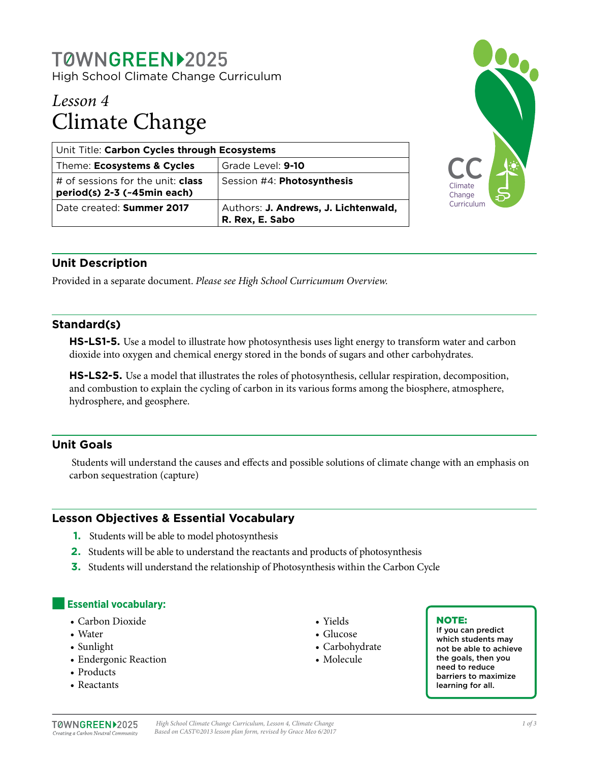# T0WNGREEN>2025

High School Climate Change Curriculum

# *Lesson 4* Climate Change

| Unit Title: Carbon Cycles through Ecosystems                            |                                                         |
|-------------------------------------------------------------------------|---------------------------------------------------------|
| Theme: Ecosystems & Cycles                                              | Grade Level: 9-10                                       |
| # of sessions for the unit: <b>class</b><br>period(s) 2-3 (~45min each) | Session #4: Photosynthesis                              |
| Date created: Summer 2017                                               | Authors: J. Andrews, J. Lichtenwald,<br>R. Rex, E. Sabo |



# **Unit Description**

Provided in a separate document. *Please see High School Curricumum Overview.*

# **Standard(s)**

**HS-LS1-5.** Use a model to illustrate how photosynthesis uses light energy to transform water and carbon dioxide into oxygen and chemical energy stored in the bonds of sugars and other carbohydrates.

**HS-LS2-5.** Use a model that illustrates the roles of photosynthesis, cellular respiration, decomposition, and combustion to explain the cycling of carbon in its various forms among the biosphere, atmosphere, hydrosphere, and geosphere.

# **Unit Goals**

 Students will understand the causes and effects and possible solutions of climate change with an emphasis on carbon sequestration (capture)

# **Lesson Objectives & Essential Vocabulary**

- **1.** Students will be able to model photosynthesis
- **2.** Students will be able to understand the reactants and products of photosynthesis
- **3.** Students will understand the relationship of Photosynthesis within the Carbon Cycle

# **Essential vocabulary:**

- Carbon Dioxide
- Water
- Sunlight
- Endergonic Reaction
- Products
- Reactants
- Yields
- Glucose
- Carbohydrate
- Molecule

#### NOTE:

If you can predict which students may not be able to achieve the goals, then you need to reduce barriers to maximize learning for all.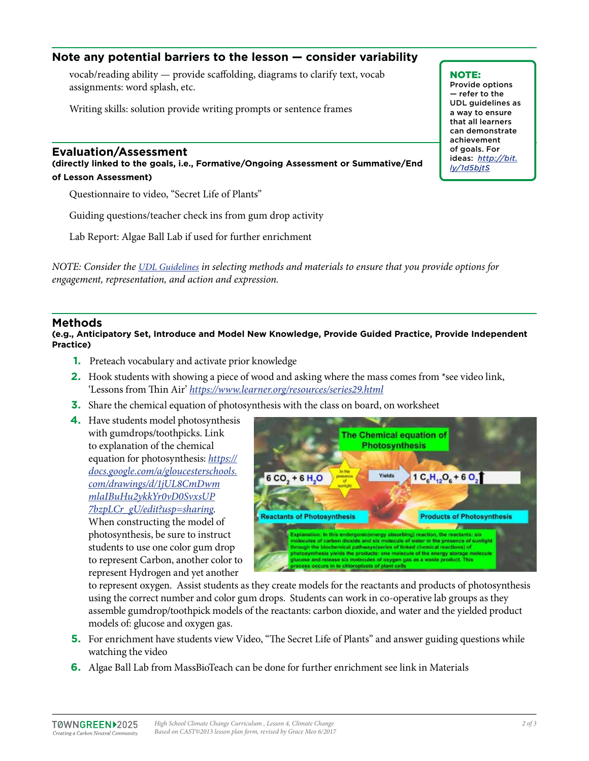# **Note any potential barriers to the lesson — consider variability**

vocab/reading ability — provide scaffolding, diagrams to clarify text, vocab assignments: word splash, etc.

Writing skills: solution provide writing prompts or sentence frames

#### **Evaluation/Assessment**

**(directly linked to the goals, i.e., Formative/Ongoing Assessment or Summative/End of Lesson Assessment)**

Questionnaire to video, "Secret Life of Plants"

Guiding questions/teacher check ins from gum drop activity

Lab Report: Algae Ball Lab if used for further enrichment

*NOTE: Consider the [UDL Guidelines](http://bit.ly/1d5bjtS) in selecting methods and materials to ensure that you provide options for engagement, representation, and action and expression.* 

#### **Methods**

**(e.g., Anticipatory Set, Introduce and Model New Knowledge, Provide Guided Practice, Provide Independent Practice)**

- **1.** Preteach vocabulary and activate prior knowledge
- **2.** Hook students with showing a piece of wood and asking where the mass comes from \*see video link, 'Lessons from Thin Air' *<https://www.learner.org/resources/series29.html>*
- **3.** Share the chemical equation of photosynthesis with the class on board, on worksheet
- **4.** Have students model photosynthesis with gumdrops/toothpicks. Link to explanation of the chemical equation for photosynthesis: *[https://](https://docs.google.com/a/gloucesterschools.com/drawings/d/1jUL8CmDwmmlaIBuHu2ykkYr0vD0SvxsUP7bzpLCr_gU/edit?usp=sharing) [docs.google.com/a/gloucesterschools.](https://docs.google.com/a/gloucesterschools.com/drawings/d/1jUL8CmDwmmlaIBuHu2ykkYr0vD0SvxsUP7bzpLCr_gU/edit?usp=sharing) [com/drawings/d/1jUL8CmDwm](https://docs.google.com/a/gloucesterschools.com/drawings/d/1jUL8CmDwmmlaIBuHu2ykkYr0vD0SvxsUP7bzpLCr_gU/edit?usp=sharing) [mlaIBuHu2ykkYr0vD0SvxsUP](https://docs.google.com/a/gloucesterschools.com/drawings/d/1jUL8CmDwmmlaIBuHu2ykkYr0vD0SvxsUP7bzpLCr_gU/edit?usp=sharing) [7bzpLCr\\_gU/edit?usp=sharing](https://docs.google.com/a/gloucesterschools.com/drawings/d/1jUL8CmDwmmlaIBuHu2ykkYr0vD0SvxsUP7bzpLCr_gU/edit?usp=sharing)*. When constructing the model of photosynthesis, be sure to instruct students to use one color gum drop to represent Carbon, another color to represent Hydrogen and yet another



to represent oxygen. Assist students as they create models for the reactants and products of photosynthesis using the correct number and color gum drops. Students can work in co-operative lab groups as they assemble gumdrop/toothpick models of the reactants: carbon dioxide, and water and the yielded product models of: glucose and oxygen gas.

- **5.** For enrichment have students view Video, "The Secret Life of Plants" and answer guiding questions while watching the video
- **6.** Algae Ball Lab from MassBioTeach can be done for further enrichment see link in Materials

NOTE: Provide options — refer to the UDL guidelines as a way to ensure that all learners can demonstrate achievement of goals. For ideas: *[http://bit.](http://bit.ly/1d5bjtS) [ly/1d5bjtS](http://bit.ly/1d5bjtS)*